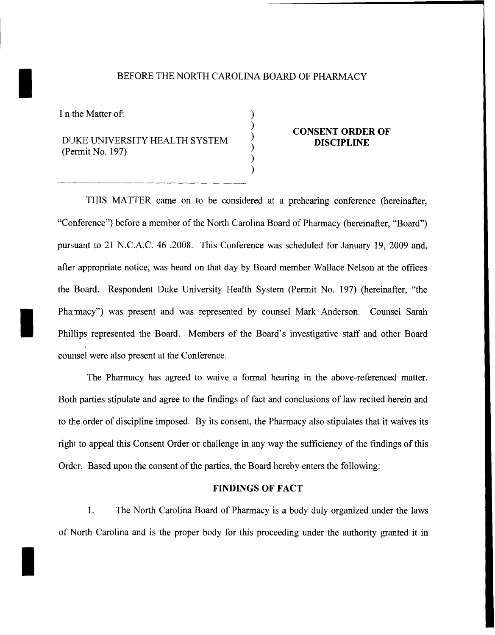### BEFORE THE NORTH CAROLINA BOARD OF PHARMACY

) ) ) ) ) )

I n the Matter of:

I

I

## DUKE UNIVERSITY HEALTH SYSTEM (Permit No. 197)

#### **CONSENT ORDER OF DISCIPLINE**

THIS MATTER came on to be considered at a prehearing conference (hereinafter, "Conference") before a member of the North Carolina Board of Pharmacy (hereinafter, "Board") pursuant to 21 N.C.A.C. 46 .2008. This Conference was scheduled for January 19, 2009 and, after appropriate notice, was heard on that day by Board member Wallace Nelson at the offices the Board. Respondent Duke University Health System (Permit No. 197) (hereinafter, "the Pharmacy") was present and was represented by counsel Mark Anderson. Counsel Sarah Phillips represented the Board. Members of the Board's investigative staff and other Board counsel were also present at the Conference.

The Pharmacy has agreed to waive a formal hearing in the above-referenced matter. Both parties stipulate and agree to the findings of fact and conclusions of law recited herein and to the order of discipline imposed. By its consent, the Pharmacy also stipulates that it waives its right to appeal this Consent Order or challenge in any way the sufficiency of the findings of this Order. Based upon the consent of the parties, the Board hereby enters the following:

#### **FINDINGS OF FACT**

1. The North Carolina Board of Pharmacy is a body duly organized under the laws of North Carolina and is the proper body for this proceeding under the authority granted it in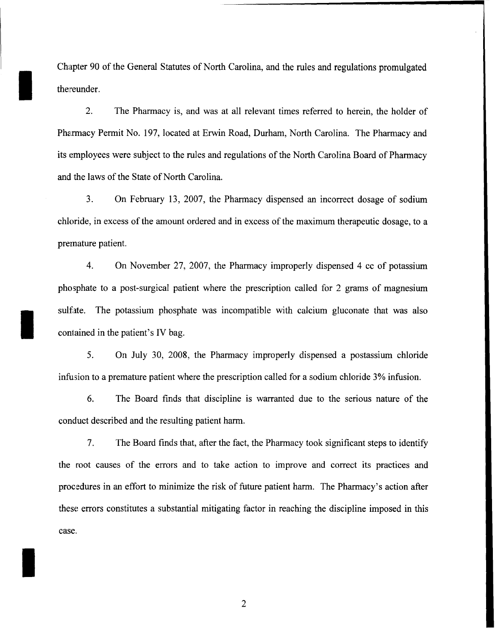Chapter 90 of the General Statutes of North Carolina, and the rules and regulations promulgated thereunder.

I

I

I

2. The Pharmacy is, and was at all relevant times referred to herein, the holder of Pharmacy Permit No. 197, located at Erwin Road, Durham, North Carolina. The Pharmacy and its employees were subject to the rules and regulations of the North Carolina Board of Pharmacy and the laws of the State of North Carolina.

3. On February 13, 2007, the Pharmacy dispensed an incorrect dosage of sodium chloride, in excess of the amount ordered and in excess of the maximum therapeutic dosage, to a premature patient.

4. On November 27, 2007, the Pharmacy improperly dispensed 4 cc of potassium phosphate to a post-surgical patient where the prescription called for 2 grams of magnesium sulfate. The potassium phosphate was incompatible with calcium gluconate that was also contained in the patient's IV bag.

5. On July 30, 2008, the Pharmacy improperly dispensed a postassium chloride infusion to a premature patient where the prescription called for a sodium chloride 3% infusion.

6. The Board finds that discipline is warranted due to the serious nature of the conduct described and the resulting patient harm.

7. The Board finds that, after the fact, the Pharmacy took significant steps to identify the root causes of the errors and to take action to improve and correct its practices and procedures in an effort to minimize the risk of future patient harm. The Pharmacy's action after these errors constitutes a substantial mitigating factor in reaching the discipline imposed in this case.

2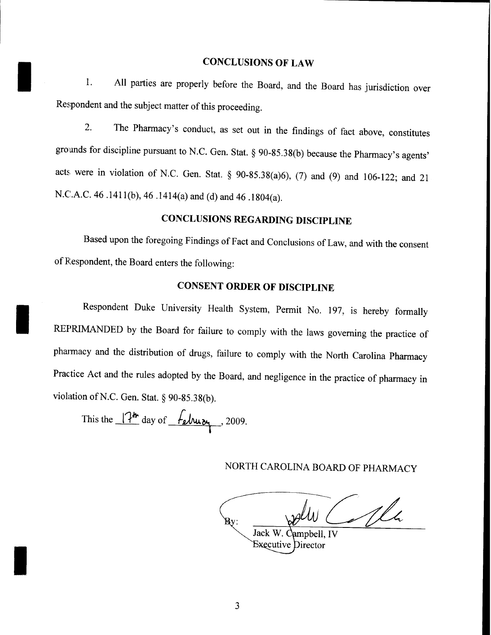### **CONCLUSIONS OF LAW**

 $\blacksquare$ All parties are properly before the Board, and the Board has jurisdiction over Respondent and the subject matter of this proceeding.

2. The Pharmacy's conduct, as set out in the findings of fact above, constitutes grounds for discipline pursuant to N.C. Gen. Stat. § 90-85.38(b) because the Pharmacy's agents' acts were in violation of N.C. Gen. Stat. § 90-85.38(a)6), (7) and (9) and 106-122; and 21 N.C.A.C. 46 .141l(b), 46 .1414(a) and (d) and 46 .1804(a).

# **CONCLUSIONS REGARDING DISCIPLINE**

Based upon the foregoing Findings of Fact and Conclusions of Law, and with the consent of Respondent, the Board enters the following:

## **CONSENT ORDER OF DISCIPLINE**

Respondent Duke University Health System, Permit No. 197, is hereby formally REPRIMANDED by the Board for failure to comply with the laws governing the practice of pharmacy and the distribution of drugs, failure to comply with the North Carolina Pharmacy Practice Act and the rules adopted by the Board, and negligence in the practice of pharmacy in violation of N.C. Gen. Stat. § 90-85.38(b).

This the  $14''$  day of  $14$  delwiye , 2009. **I**

I

I

NORTH CAROLINA BOARD OF PHARMACY

Alh  $\overline{\mathbf{B}}\mathbf{y}$ : Jack W. Campbell, IV **Executive Director**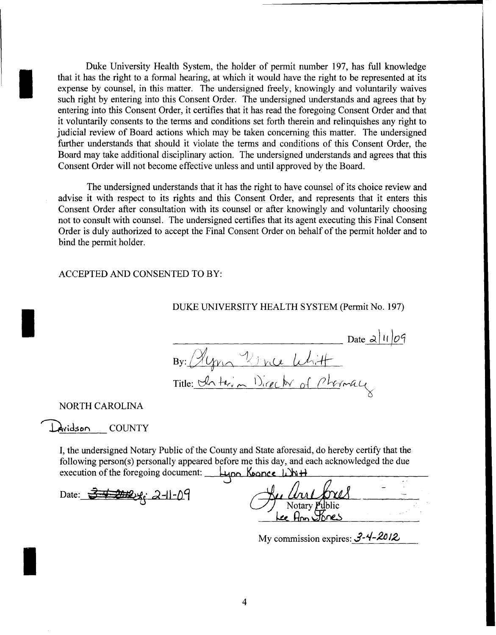Duke University Health System, the holder of permit number 197, has full knowledge that it has the right to a formal hearing, at which it would have the right to be represented at its expense by counsel, in this matter. The undersigned freely, knowingly and voluntarily waives such right by entering into this Consent Order. The undersigned understands and agrees that by entering into this Consent Order, it certifies that it has read the foregoing Consent Order and that it voluntarily consents to the terms and conditions set forth therein and relinquishes any right to judicial review of Board actions which may be taken concerning this matter. The undersigned further understands that should it violate the terms and conditions of this Consent Order, the Board may take additional disciplinary action. The undersigned understands and agrees that this Consent Order will not become effective unless and until approved by the Board.

The undersigned understands that it has the right to have counsel of its choice review and advise it with respect to its rights and this Consent Order, and represents that it enters this Consent Order after consultation with its counsel or after knowingly and voluntarily choosing not to consult with counsel. The undersigned certifies that its agent executing this Final Consent Order is duly authorized to accept the Final Consent Order on behalf of the permit holder and to bind the permit holder.

ACCEPTED AND CONSENTED TO BY:

DUKE UNIVERSITY HEALTH SYSTEM (Permit No. 197)

By: Algon Vivia Whitt<br>Title: Chaterin Director of Phermall

#### NORTH CAROLINA

I

I

I

Avidson COUNTY

I, the undersigned Notary Public of the County and State aforesaid, do hereby certify that the following person(s) personally appeared before me this day, and each acknowledged the due execution of the foregoing document: Lupo Koonce Libi<sup>H</sup>

Date: i3" ~. d-I~9 cJ;~fJ!: Notary bhc

ee Ann Spres

My commission expires: 3-4-2012